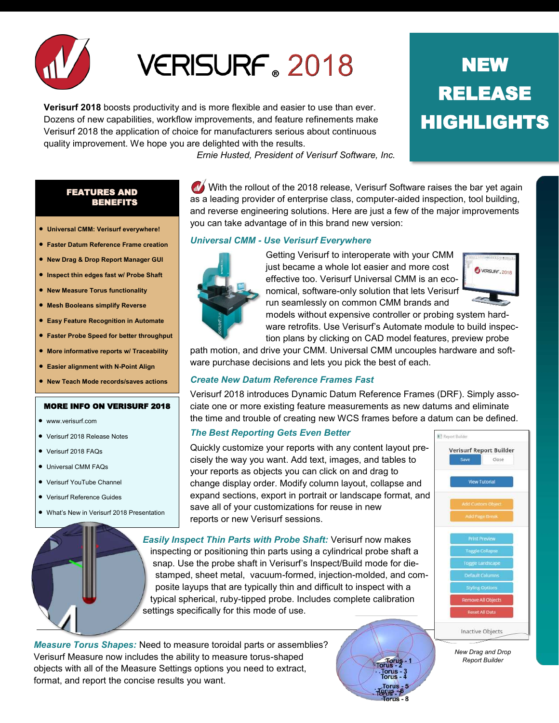

# VERISURF 2018

**Verisurf 2018** boosts productivity and is more flexible and easier to use than ever. Dozens of new capabilities, workflow improvements, and feature refinements make Verisurf 2018 the application of choice for manufacturers serious about continuous quality improvement. We hope you are delighted with the results.

*Ernie Husted, President of Verisurf Software, Inc.*

you can take advantage of in this brand new version:

*Universal CMM - Use Verisurf Everywhere*

### FEATURES AND BENEFITS

- **Universal CMM: Verisurf everywhere!**
- **Faster Datum Reference Frame creation**
- **New Drag & Drop Report Manager GUI**
- **Inspect thin edges fast w/ Probe Shaft**
- **New Measure Torus functionality**
- **Mesh Booleans simplify Reverse**
- **Easy Feature Recognition in Automate**
- **Faster Probe Speed for better throughput**
- **More informative reports w/ Traceability**
- **Easier alignment with N-Point Align**
- **New Teach Mode records/saves actions**

#### MORE INFO ON VERISURF 2018

- www.verisurf.com
- Verisurf 2018 Release Notes
- Verisurf 2018 FAQs
- **•** Universal CMM FAQs
- Verisurf YouTube Channel
- Verisurf Reference Guides
- What's New in Verisurf 2018 Presentation



Getting Verisurf to interoperate with your CMM just became a whole lot easier and more cost effective too. Verisurf Universal CMM is an economical, software-only solution that lets Verisurf run seamlessly on common CMM brands and

 $\mathbf{\mathcal{N}}$  With the rollout of the 2018 release, Verisurf Software raises the bar yet again as a leading provider of enterprise class, computer-aided inspection, tool building, and reverse engineering solutions. Here are just a few of the major improvements



models without expensive controller or probing system hardware retrofits. Use Verisurf's Automate module to build inspection plans by clicking on CAD model features, preview probe

> Torus<br>Torus - 2 orus

path motion, and drive your CMM. Universal CMM uncouples hardware and software purchase decisions and lets you pick the best of each.

## *Create New Datum Reference Frames Fast*

Verisurf 2018 introduces Dynamic Datum Reference Frames (DRF). Simply associate one or more existing feature measurements as new datums and eliminate the time and trouble of creating new WCS frames before a datum can be defined.

## *The Best Reporting Gets Even Better*

Quickly customize your reports with any content layout precisely the way you want. Add text, images, and tables to your reports as objects you can click on and drag to change display order. Modify column layout, collapse and expand sections, export in portrait or landscape format, and save all of your customizations for reuse in new reports or new Verisurf sessions.

*Easily Inspect Thin Parts with Probe Shaft:* Verisurf now makes inspecting or positioning thin parts using a cylindrical probe shaft a snap. Use the probe shaft in Verisurf's Inspect/Build mode for die stamped, sheet metal, vacuum-formed, injection-molded, and com posite layups that are typically thin and difficult to inspect with a typical spherical, ruby-tipped probe. Includes complete calibration settings specifically for this mode of use.

*Measure Torus Shapes:* Need to measure toroidal parts or assemblies? Verisurf Measure now includes the ability to measure torus-shaped objects with all of the Measure Settings options you need to extract, format, and report the concise results you want.



*New Drag and Drop Report Builder*

## **NEW** RELEASE HIGHLIGHTS